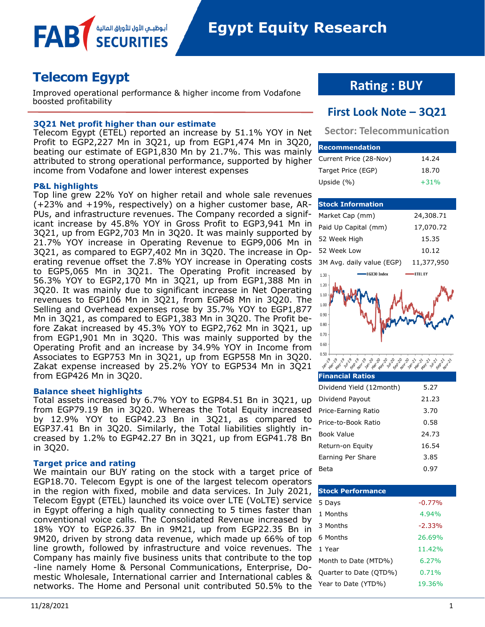

# **Telecom Egypt**

FAB

Improved operational performance & higher income from Vodafone boosted profitability

## **3Q21 Net profit higher than our estimate**

أبوظبــمي الأول للأوراق المالإ

Telecom Egypt (ETEL) reported an increase by 51.1% YOY in Net Profit to EGP2,227 Mn in 3Q21, up from EGP1,474 Mn in 3Q20, beating our estimate of EGP1,830 Mn by 21.7%. This was mainly attributed to strong operational performance, supported by higher income from Vodafone and lower interest expenses

### **P&L highlights**

Top line grew 22% YoY on higher retail and whole sale revenues (+23% and +19%, respectively) on a higher customer base, AR-PUs, and infrastructure revenues. The Company recorded a significant increase by 45.8% YOY in Gross Profit to EGP3,941 Mn in 3Q21, up from EGP2,703 Mn in 3Q20. It was mainly supported by 21.7% YOY increase in Operating Revenue to EGP9,006 Mn in 3Q21, as compared to EGP7,402 Mn in 3Q20. The increase in Operating revenue offset the 7.8% YOY increase in Operating costs to EGP5,065 Mn in 3Q21. The Operating Profit increased by 56.3% YOY to EGP2,170 Mn in 3Q21, up from EGP1,388 Mn in 3Q20. It was mainly due to significant increase in Net Operating revenues to EGP106 Mn in 3Q21, from EGP68 Mn in 3Q20. The Selling and Overhead expenses rose by 35.7% YOY to EGP1,877 Mn in 3Q21, as compared to EGP1,383 Mn in 3Q20. The Profit before Zakat increased by 45.3% YOY to EGP2,762 Mn in 3Q21, up from EGP1,901 Mn in 3Q20. This was mainly supported by the Operating Profit and an increase by 34.9% YOY in Income from Associates to EGP753 Mn in 3Q21, up from EGP558 Mn in 3Q20. Zakat expense increased by 25.2% YOY to EGP534 Mn in 3Q21 from EGP426 Mn in 3Q20.

#### **Balance sheet highlights**

Total assets increased by 6.7% YOY to EGP84.51 Bn in 3Q21, up from EGP79.19 Bn in 3Q20. Whereas the Total Equity increased by 12.9% YOY to EGP42.23 Bn in 3Q21, as compared to EGP37.41 Bn in 3Q20. Similarly, the Total liabilities slightly increased by 1.2% to EGP42.27 Bn in 3Q21, up from EGP41.78 Bn in 3Q20.

### **Target price and rating**

We maintain our BUY rating on the stock with a target price of EGP18.70. Telecom Egypt is one of the largest telecom operators in the region with fixed, mobile and data services. In July 2021, Telecom Egypt (ETEL) launched its voice over LTE (VoLTE) service in Egypt offering a high quality connecting to 5 times faster than conventional voice calls. The Consolidated Revenue increased by 18% YOY to EGP26.37 Bn in 9M21, up from EGP22.35 Bn in 9M20, driven by strong data revenue, which made up 66% of top line growth, followed by infrastructure and voice revenues. The Company has mainly five business units that contribute to the top -line namely Home & Personal Communications, Enterprise, Domestic Wholesale, International carrier and International cables & networks. The Home and Personal unit contributed 50.5% to the

## **Rating : BUY**

## **First Look Note – 3Q21**

**Sector: Telecommunication**

| <b>Recommendation</b>  |        |
|------------------------|--------|
| Current Price (28-Nov) | 14.24  |
| Target Price (EGP)     | 18.70  |
| Upside $(% )$          | $+31%$ |

## **Stock Information** Market Cap (mm) 24,308.71 Paid Up Capital (mm) 17,070.72 52 Week High 15.35 52 Week Low 10.12 3M Avg. daily value (EGP) 11,377,950 EGX30 Index **ETEL EY**  $1.30$  $1.20$  $1.10$  $1.00$  $0.90$  $0.80$  $0.70$  $0.60$

| <b>Financial Ratios</b>  |       |
|--------------------------|-------|
| Dividend Yield (12month) | 5.27  |
| Dividend Payout          | 21.23 |
| Price-Earning Ratio      | 3.70  |
| Price-to-Book Ratio      | 0.58  |
| Book Value               | 24 73 |
| Return-on Equity         | 16.54 |
| Earning Per Share        | 3.85  |
| Beta                     | 0.97  |

**2011/2014 19 19 19 19 19 19 19 19 19** 

| <b>Stock Performance</b> |          |  |  |  |  |  |  |  |
|--------------------------|----------|--|--|--|--|--|--|--|
| 5 Days                   | $-0.77%$ |  |  |  |  |  |  |  |
| 1 Months                 | 4.94%    |  |  |  |  |  |  |  |
| 3 Months                 | $-2.33%$ |  |  |  |  |  |  |  |
| 6 Months                 | 26.69%   |  |  |  |  |  |  |  |
| 1 Year                   | 11.42%   |  |  |  |  |  |  |  |
| Month to Date (MTD%)     | 6.27%    |  |  |  |  |  |  |  |
| Quarter to Date (QTD%)   | 0.71%    |  |  |  |  |  |  |  |
| Year to Date (YTD%)      | 19.36%   |  |  |  |  |  |  |  |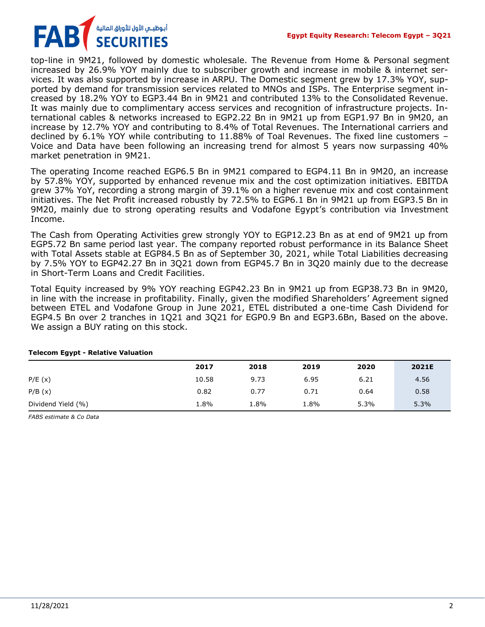

top-line in 9M21, followed by domestic wholesale. The Revenue from Home & Personal segment increased by 26.9% YOY mainly due to subscriber growth and increase in mobile & internet services. It was also supported by increase in ARPU. The Domestic segment grew by 17.3% YOY, supported by demand for transmission services related to MNOs and ISPs. The Enterprise segment increased by 18.2% YOY to EGP3.44 Bn in 9M21 and contributed 13% to the Consolidated Revenue. It was mainly due to complimentary access services and recognition of infrastructure projects. International cables & networks increased to EGP2.22 Bn in 9M21 up from EGP1.97 Bn in 9M20, an increase by 12.7% YOY and contributing to 8.4% of Total Revenues. The International carriers and declined by 6.1% YOY while contributing to 11.88% of Toal Revenues. The fixed line customers – Voice and Data have been following an increasing trend for almost 5 years now surpassing 40% market penetration in 9M21.

The operating Income reached EGP6.5 Bn in 9M21 compared to EGP4.11 Bn in 9M20, an increase by 57.8% YOY, supported by enhanced revenue mix and the cost optimization initiatives. EBITDA grew 37% YoY, recording a strong margin of 39.1% on a higher revenue mix and cost containment initiatives. The Net Profit increased robustly by 72.5% to EGP6.1 Bn in 9M21 up from EGP3.5 Bn in 9M20, mainly due to strong operating results and Vodafone Egypt's contribution via Investment Income.

The Cash from Operating Activities grew strongly YOY to EGP12.23 Bn as at end of 9M21 up from EGP5.72 Bn same period last year. The company reported robust performance in its Balance Sheet with Total Assets stable at EGP84.5 Bn as of September 30, 2021, while Total Liabilities decreasing by 7.5% YOY to EGP42.27 Bn in 3Q21 down from EGP45.7 Bn in 3Q20 mainly due to the decrease in Short-Term Loans and Credit Facilities.

Total Equity increased by 9% YOY reaching EGP42.23 Bn in 9M21 up from EGP38.73 Bn in 9M20, in line with the increase in profitability. Finally, given the modified Shareholders' Agreement signed between ETEL and Vodafone Group in June 2021, ETEL distributed a one-time Cash Dividend for EGP4.5 Bn over 2 tranches in 1Q21 and 3Q21 for EGP0.9 Bn and EGP3.6Bn, Based on the above. We assign a BUY rating on this stock.

|                    | 2017  | 2018 | 2019 | 2020 | 2021E |
|--------------------|-------|------|------|------|-------|
| P/E(x)             | 10.58 | 9.73 | 6.95 | 6.21 | 4.56  |
| P/B(x)             | 0.82  | 0.77 | 0.71 | 0.64 | 0.58  |
| Dividend Yield (%) | 1.8%  | 1.8% | 1.8% | 5.3% | 5.3%  |

## **Telecom Egypt - Relative Valuation**

*FABS estimate & Co Data*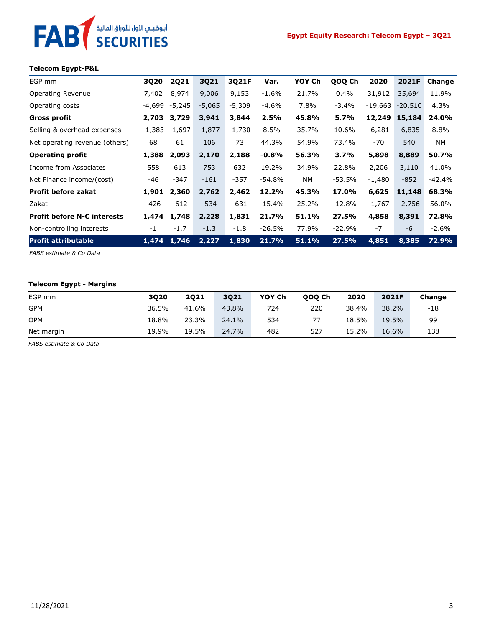## **Telecom Egypt-P&L**

أبوظبـي الأول للأوراق المالية<br>SECURITIES

**FAB** 

| EGP mm                             | 3Q20   | <b>2Q21</b> | 3Q21     | 3Q21F    | Var.     | YOY Ch    | QOQ Ch   | 2020      | 2021F     | Change    |
|------------------------------------|--------|-------------|----------|----------|----------|-----------|----------|-----------|-----------|-----------|
| Operating Revenue                  | 7,402  | 8,974       | 9,006    | 9,153    | $-1.6%$  | 21.7%     | 0.4%     | 31,912    | 35,694    | 11.9%     |
| Operating costs                    | -4,699 | -5,245      | $-5,065$ | $-5,309$ | $-4.6%$  | 7.8%      | $-3.4%$  | $-19,663$ | $-20,510$ | 4.3%      |
| Gross profit                       | 2,703  | 3,729       | 3,941    | 3,844    | 2.5%     | 45.8%     | 5.7%     | 12,249    | 15,184    | 24.0%     |
| Selling & overhead expenses        | -1,383 | -1,697      | $-1,877$ | $-1,730$ | 8.5%     | 35.7%     | 10.6%    | $-6,281$  | $-6,835$  | 8.8%      |
| Net operating revenue (others)     | 68     | 61          | 106      | 73       | 44.3%    | 54.9%     | 73.4%    | -70       | 540       | <b>NM</b> |
| <b>Operating profit</b>            | 1,388  | 2,093       | 2,170    | 2,188    | $-0.8%$  | 56.3%     | 3.7%     | 5,898     | 8,889     | 50.7%     |
| Income from Associates             | 558    | 613         | 753      | 632      | 19.2%    | 34.9%     | 22.8%    | 2,206     | 3,110     | 41.0%     |
| Net Finance income/(cost)          | -46    | $-347$      | $-161$   | $-357$   | $-54.8%$ | <b>NM</b> | $-53.5%$ | $-1,480$  | $-852$    | $-42.4%$  |
| <b>Profit before zakat</b>         | 1,901  | 2,360       | 2,762    | 2,462    | 12.2%    | 45.3%     | 17.0%    | 6,625     | 11,148    | 68.3%     |
| Zakat                              | -426   | $-612$      | $-534$   | $-631$   | $-15.4%$ | 25.2%     | $-12.8%$ | $-1,767$  | $-2,756$  | 56.0%     |
| <b>Profit before N-C interests</b> | 1,474  | 1,748       | 2,228    | 1,831    | 21.7%    | 51.1%     | 27.5%    | 4,858     | 8,391     | 72.8%     |
| Non-controlling interests          | $-1$   | $-1.7$      | $-1.3$   | $-1.8$   | $-26.5%$ | 77.9%     | $-22.9%$ | $-7$      | -6        | $-2.6%$   |
| <b>Profit attributable</b>         | 1,474  | 1,746       | 2,227    | 1,830    | 21.7%    | 51.1%     | 27.5%    | 4,851     | 8,385     | 72.9%     |

*FABS estimate & Co Data*

## **Telecom Egypt - Margins**

| EGP mm     | 3020  | <b>2Q21</b> | 3Q21  | YOY Ch | 000 Ch | 2020  | 2021F | Change |
|------------|-------|-------------|-------|--------|--------|-------|-------|--------|
| <b>GPM</b> | 36.5% | 41.6%       | 43.8% | 724    | 220    | 38.4% | 38.2% | -18    |
| OPM        | 18.8% | 23.3%       | 24.1% | 534    | 77     | 18.5% | 19.5% | 99     |
| Net margin | 19.9% | 19.5%       | 24.7% | 482    | 527    | 15.2% | 16.6% | 138    |

*FABS estimate & Co Data*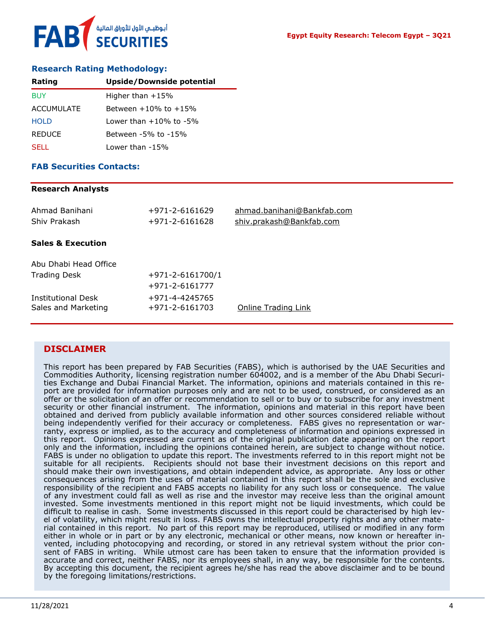## **Research Rating Methodology:**

| Rating            | Upside/Downside potential    |  |  |
|-------------------|------------------------------|--|--|
| <b>BUY</b>        | Higher than $+15%$           |  |  |
| <b>ACCUMULATE</b> | Between $+10\%$ to $+15\%$   |  |  |
| <b>HOLD</b>       | Lower than $+10\%$ to $-5\%$ |  |  |
| <b>REDUCE</b>     | Between -5% to -15%          |  |  |
| <b>SELL</b>       | Lower than -15%              |  |  |

## **FAB Securities Contacts:**

### **Research Analysts**

| Ahmad Banihani<br>Shiv Prakash                   | +971-2-6161629<br>$+971 - 2 - 6161628$ | ahmad.banihani@Bankfab.com<br>shiv.prakash@Bankfab.com |
|--------------------------------------------------|----------------------------------------|--------------------------------------------------------|
| <b>Sales &amp; Execution</b>                     |                                        |                                                        |
| Abu Dhabi Head Office                            |                                        |                                                        |
| <b>Trading Desk</b>                              | $+971 - 2 - 6161700/1$                 |                                                        |
|                                                  | +971-2-6161777                         |                                                        |
| <b>Institutional Desk</b><br>Sales and Marketing | +971-4-4245765<br>+971-2-6161703       | Online Trading Link                                    |

## **DISCLAIMER**

This report has been prepared by FAB Securities (FABS), which is authorised by the UAE Securities and Commodities Authority, licensing registration number 604002, and is a member of the Abu Dhabi Securities Exchange and Dubai Financial Market. The information, opinions and materials contained in this report are provided for information purposes only and are not to be used, construed, or considered as an offer or the solicitation of an offer or recommendation to sell or to buy or to subscribe for any investment security or other financial instrument. The information, opinions and material in this report have been obtained and derived from publicly available information and other sources considered reliable without being independently verified for their accuracy or completeness. FABS gives no representation or warranty, express or implied, as to the accuracy and completeness of information and opinions expressed in this report. Opinions expressed are current as of the original publication date appearing on the report only and the information, including the opinions contained herein, are subject to change without notice. FABS is under no obligation to update this report. The investments referred to in this report might not be suitable for all recipients. Recipients should not base their investment decisions on this report and should make their own investigations, and obtain independent advice, as appropriate. Any loss or other consequences arising from the uses of material contained in this report shall be the sole and exclusive responsibility of the recipient and FABS accepts no liability for any such loss or consequence. The value of any investment could fall as well as rise and the investor may receive less than the original amount invested. Some investments mentioned in this report might not be liquid investments, which could be difficult to realise in cash. Some investments discussed in this report could be characterised by high level of volatility, which might result in loss. FABS owns the intellectual property rights and any other material contained in this report. No part of this report may be reproduced, utilised or modified in any form either in whole or in part or by any electronic, mechanical or other means, now known or hereafter invented, including photocopying and recording, or stored in any retrieval system without the prior consent of FABS in writing. While utmost care has been taken to ensure that the information provided is accurate and correct, neither FABS, nor its employees shall, in any way, be responsible for the contents. By accepting this document, the recipient agrees he/she has read the above disclaimer and to be bound by the foregoing limitations/restrictions.